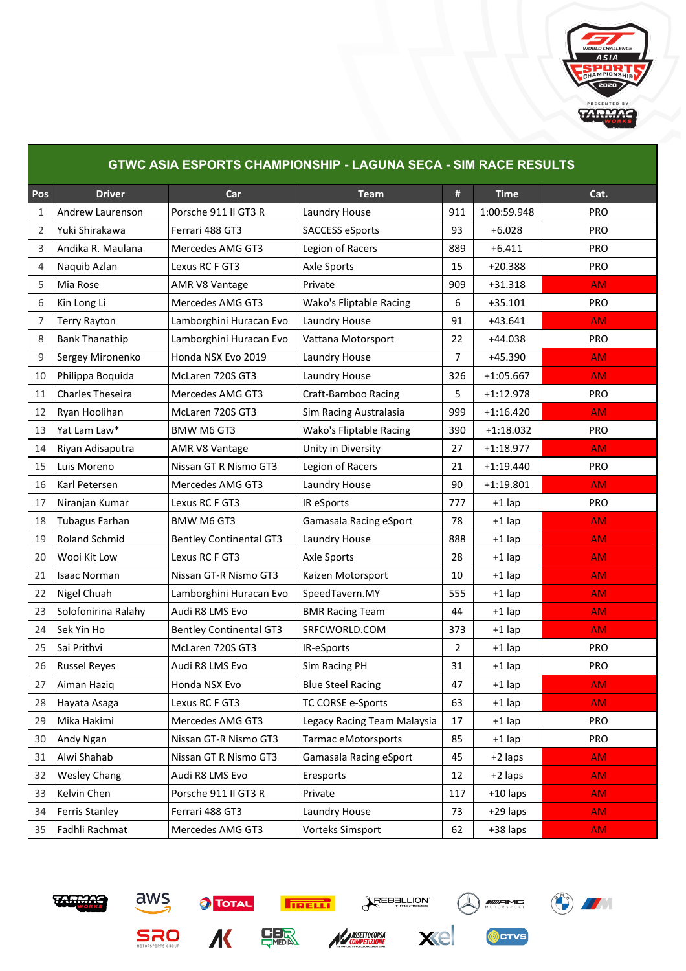

| <b>GTWC ASIA ESPORTS CHAMPIONSHIP - LAGUNA SECA - SIM RACE RESULTS</b> |                       |                                |                             |                |             |            |  |  |
|------------------------------------------------------------------------|-----------------------|--------------------------------|-----------------------------|----------------|-------------|------------|--|--|
| Pos                                                                    | <b>Driver</b>         | Car                            | <b>Team</b>                 | #              | <b>Time</b> | Cat.       |  |  |
| 1                                                                      | Andrew Laurenson      | Porsche 911 II GT3 R           | Laundry House               | 911            | 1:00:59.948 | <b>PRO</b> |  |  |
| 2                                                                      | Yuki Shirakawa        | Ferrari 488 GT3                | SACCESS eSports             | 93             | $+6.028$    | <b>PRO</b> |  |  |
| 3                                                                      | Andika R. Maulana     | Mercedes AMG GT3               | Legion of Racers            | 889            | $+6.411$    | <b>PRO</b> |  |  |
| 4                                                                      | Naquib Azlan          | Lexus RC F GT3                 | <b>Axle Sports</b>          | 15             | $+20.388$   | <b>PRO</b> |  |  |
| 5                                                                      | Mia Rose              | AMR V8 Vantage                 | Private                     | 909            | $+31.318$   | <b>AM</b>  |  |  |
| 6                                                                      | Kin Long Li           | Mercedes AMG GT3               | Wako's Fliptable Racing     | 6              | $+35.101$   | <b>PRO</b> |  |  |
| 7                                                                      | <b>Terry Rayton</b>   | Lamborghini Huracan Evo        | Laundry House               | 91             | $+43.641$   | AM.        |  |  |
| 8                                                                      | <b>Bank Thanathip</b> | Lamborghini Huracan Evo        | Vattana Motorsport          | 22             | +44.038     | <b>PRO</b> |  |  |
| 9                                                                      | Sergey Mironenko      | Honda NSX Evo 2019             | Laundry House               | $\overline{7}$ | $+45.390$   | <b>AM</b>  |  |  |
| 10                                                                     | Philippa Boquida      | McLaren 720S GT3               | Laundry House               | 326            | $+1:05.667$ | <b>AM</b>  |  |  |
| 11                                                                     | Charles Theseira      | Mercedes AMG GT3               | <b>Craft-Bamboo Racing</b>  | 5              | $+1:12.978$ | <b>PRO</b> |  |  |
| 12                                                                     | Ryan Hoolihan         | McLaren 720S GT3               | Sim Racing Australasia      | 999            | $+1:16.420$ | AM.        |  |  |
| 13                                                                     | Yat Lam Law*          | <b>BMW M6 GT3</b>              | Wako's Fliptable Racing     | 390            | $+1:18.032$ | <b>PRO</b> |  |  |
| 14                                                                     | Riyan Adisaputra      | AMR V8 Vantage                 | Unity in Diversity          | 27             | $+1:18.977$ | <b>AM</b>  |  |  |
| 15                                                                     | Luis Moreno           | Nissan GT R Nismo GT3          | Legion of Racers            | 21             | $+1:19.440$ | <b>PRO</b> |  |  |
| 16                                                                     | Karl Petersen         | Mercedes AMG GT3               | Laundry House               | 90             | $+1:19.801$ | <b>AM</b>  |  |  |
| 17                                                                     | Niranjan Kumar        | Lexus RC F GT3                 | IR eSports                  | 777            | $+1$ lap    | <b>PRO</b> |  |  |
| 18                                                                     | Tubagus Farhan        | BMW M6 GT3                     | Gamasala Racing eSport      | 78             | $+1$ lap    | AM.        |  |  |
| 19                                                                     | Roland Schmid         | <b>Bentley Continental GT3</b> | Laundry House               | 888            | $+1$ lap    | <b>AM</b>  |  |  |
| 20                                                                     | Wooi Kit Low          | Lexus RC F GT3                 | <b>Axle Sports</b>          | 28             | $+1$ lap    | <b>AM</b>  |  |  |
| 21                                                                     | <b>Isaac Norman</b>   | Nissan GT-R Nismo GT3          | Kaizen Motorsport           | 10             | $+1$ lap    | <b>AM</b>  |  |  |
| 22                                                                     | Nigel Chuah           | Lamborghini Huracan Evo        | SpeedTavern.MY              | 555            | $+1$ lap    | <b>AM</b>  |  |  |
| 23                                                                     | Solofonirina Ralahy   | Audi R8 LMS Evo                | <b>BMR Racing Team</b>      | 44             | $+1$ lap    | AM.        |  |  |
| 24                                                                     | Sek Yin Ho            | <b>Bentley Continental GT3</b> | SRFCWORLD.COM               | 373            | $+1$ lap    | <b>AM</b>  |  |  |
| 25                                                                     | Sai Prithvi           | McLaren 720S GT3               | IR-eSports                  | $\overline{2}$ | $+1$ lap    | <b>PRO</b> |  |  |
| 26                                                                     | <b>Russel Reyes</b>   | Audi R8 LMS Evo                | Sim Racing PH               | 31             | $+1$ lap    | <b>PRO</b> |  |  |
| 27                                                                     | Aiman Haziq           | Honda NSX Evo                  | <b>Blue Steel Racing</b>    | 47             | $+1$ lap    | AM         |  |  |
| 28                                                                     | Hayata Asaga          | Lexus RC F GT3                 | TC CORSE e-Sports           | 63             | $+1$ lap    | AM.        |  |  |
| 29                                                                     | Mika Hakimi           | Mercedes AMG GT3               | Legacy Racing Team Malaysia | 17             | $+1$ lap    | <b>PRO</b> |  |  |
| 30                                                                     | Andy Ngan             | Nissan GT-R Nismo GT3          | Tarmac eMotorsports         | 85             | $+1$ lap    | PRO        |  |  |
| 31                                                                     | Alwi Shahab           | Nissan GT R Nismo GT3          | Gamasala Racing eSport      | 45             | +2 laps     | AM.        |  |  |
| 32                                                                     | <b>Wesley Chang</b>   | Audi R8 LMS Evo                | Eresports                   | 12             | +2 laps     | <b>AM</b>  |  |  |
| 33                                                                     | Kelvin Chen           | Porsche 911 II GT3 R           | Private                     | 117            | $+10$ laps  | <b>AM</b>  |  |  |
| 34                                                                     | Ferris Stanley        | Ferrari 488 GT3                | Laundry House               | 73             | +29 laps    | AM.        |  |  |
| 35                                                                     | Fadhli Rachmat        | Mercedes AMG GT3               | Vorteks Simsport            | 62             | +38 laps    | <b>AM</b>  |  |  |











**OCTVS**